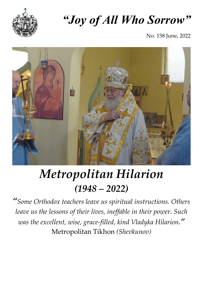

# *"Joy of All Who Sorrow"*

No. 158 June, 2022



# *Metropolitan Hilarion (1948 – 2022)*

*"Some Orthodox teachers leave us spiritual instructions. Others leave us the lessons of their lives, ineffable in their power. Such was the excellent, wise, grace-filled, kind Vladyka Hilarion."* Metropolitan Tikhon *(Shevkunov)*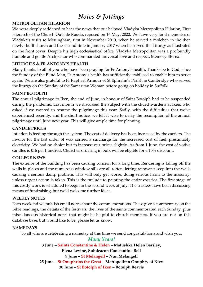### *Notes & Jottings*

#### **METROPOLITAN HILARION**

We were deeply saddened to hear the news that our beloved Vladyka Metropolitan Hilarion, First Hierarch of the Church Outside Russia, reposed on 16 May, 2022. We have very fond memories of Vladyka's visits to Mettingham, first in November 2010, when he served a moleben in the then newly- built church and the second time in January 2017 when he served the Liturgy as illustrated on the front cover. Despite his high ecclesiastical office, Vladyka Metropolitan was a profoundly humble and gentle Archpastor who commanded universal love and respect. Memory Eternal!

#### **LITURGIES & FR ANTONY'S HEALTH**

Many thanks to all of you who have been praying for Fr Antony's health. Thanks be to God, since the Sunday of the Blind Man, Fr Antony's health has sufficiently stabilised to enable him to serve again. We are also grateful to Fr Raphael Armour of St Ephraim's Parish in Cambridge who served the liturgy on the Sunday of the Samaritan Woman before going on holiday in Suffolk.

#### **SAINT BOTOLPH**

The annual pilgrimage to Iken, the end of June, in honour of Saint Botolph had to be suspended during the pandemic. Last month we discussed the subject with the churchwardens at Iken, who asked if we wanted to resume the pilgrimage this year. Sadly, with the difficulties that we've experienced recently, and the short notice, we felt it wise to delay the resumption of the annual pilgrimage until June next year. This will give ample time for planning.

#### **CANDLE PRICES**

Inflation is feeding through the system. The cost of delivery has been increased by the carriers. The invoice for the last order of wax carried a surcharge for the increased cost of fuel; presumably electricity. We had no choice but to increase our prices slightly. As from 1 June, the cost of votive candles is £16 per hundred. Churches ordering in bulk will be eligible for a 15% discount.

#### **COLLEGE NEWS**

The exterior of the building has been causing concern for a long time. Rendering is falling off the walls in places and the numerous window sills are all rotten, letting rainwater seep into the walls causing a serious damp problem. This will only get worse, doing serious harm to the masonry, unless urgent action is taken. This is the prelude to painting the entire exterior. The first stage of this costly work is scheduled to begin in the second week of July. The trustees have been discussing means of fundraising, but we'd welcome further ideas.

#### **WEEKLY NOTES**

Each weekend we publish email notes about the commemorations. These give a commentary on the Bible readings, the details of the festivals, the lives of the saints commemorated each Sunday, plus miscellaneous historical notes that might be helpful to church members. If you are not on this database base, but would like to be, please let us know.

#### **NAMEDAYS**

To all who are celebrating a nameday at this time we send congratulations and wish you:

*Many Years!* **3 June – Saints Constantine & Helen – Matushka Helen Barsley, Elena Levine, Subdeacon Constantine Bell 9 June – St Melangell – Nun Melangell 25 June – St Onuphrios the Great – Metropolitan Onuphry of Kiev 30 June – St Botolph of Iken – Botolph Beavis**